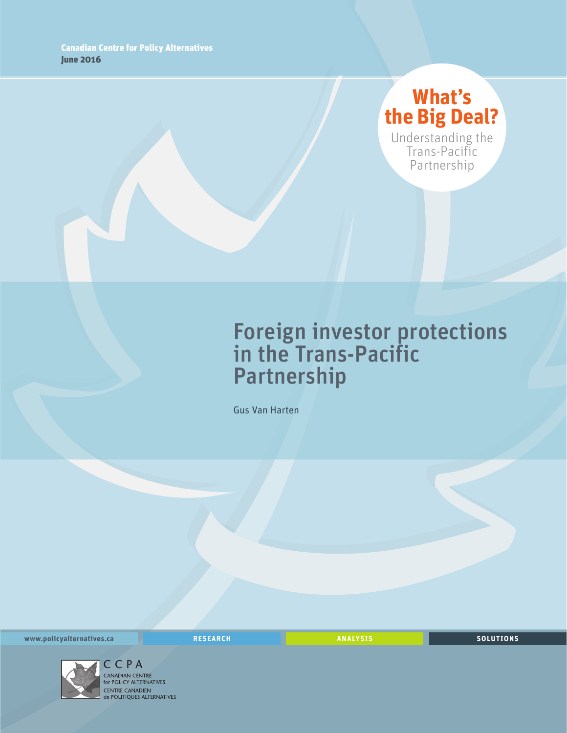# **What's the Big Deal?**

Understanding the Trans-Pacific Partnership

# Foreign investor protections in the Trans-Pacific Partnership

Gus Van Harten

**www.policyalternatives.ca RESEARCH ANALYSIS SOLUTIONS**



C C P A<br>CANADIAN CENTRE for POLICY ALTERNATIVES CENTRE CANADIEN<br>de POLITIQUES ALTERNATIVES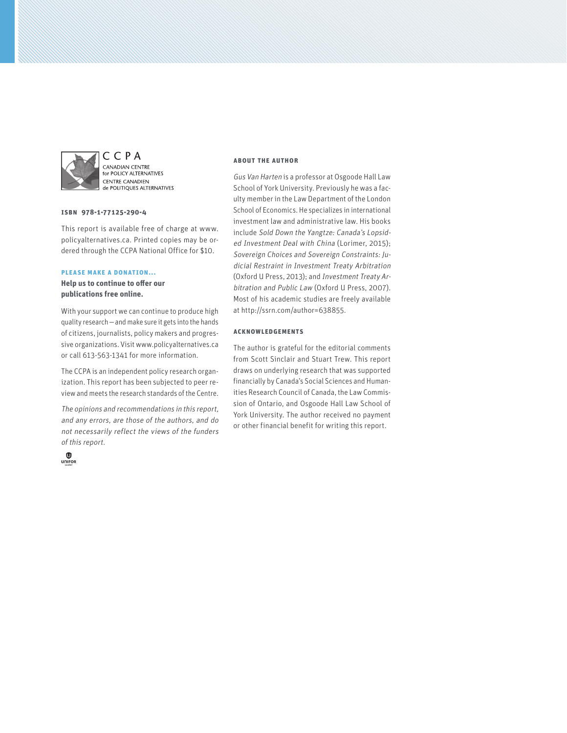

CCPA CANADIAN CENTRE **EXEMPLIER CERVINE**<br>for POLICY ALTERNATIVES **CENTRE CANADIEN** de POLITIQUES ALTERNATIVES

#### **ISBN 978-1-77125-290-4**

This report is available free of charge at www. policyalternatives.ca. Printed copies may be ordered through the CCPA National Office for \$10.

#### **Please make a donation...**

**Help us to continue to offer our publications free online.**

With your support we can continue to produce high quality research—and make sure it gets into the hands of citizens, journalists, policy makers and progressive organizations. Visit www.policyalternatives.ca or call 613-563-1341 for more information.

The CCPA is an independent policy research organization. This report has been subjected to peer review and meets the research standards of the Centre.

The opinions and recommendations in this report, and any errors, are those of the authors, and do not necessarily reflect the views of the funders of this report.



#### **About the author**

Gus Van Harten is a professor at Osgoode Hall Law School of York University. Previously he was a faculty member in the Law Department of the London School of Economics. He specializes in international investment law and administrative law. His books include Sold Down the Yangtze: Canada's Lopsided Investment Deal with China (Lorimer, 2015); Sovereign Choices and Sovereign Constraints: Judicial Restraint in Investment Treaty Arbitration (Oxford U Press, 2013); and Investment Treaty Arbitration and Public Law (Oxford U Press, 2007). Most of his academic studies are freely available at http://ssrn.com/author=638855.

#### **Acknowledgements**

The author is grateful for the editorial comments from Scott Sinclair and Stuart Trew. This report draws on underlying research that was supported financially by Canada's Social Sciences and Humanities Research Council of Canada, the Law Commission of Ontario, and Osgoode Hall Law School of York University. The author received no payment or other financial benefit for writing this report.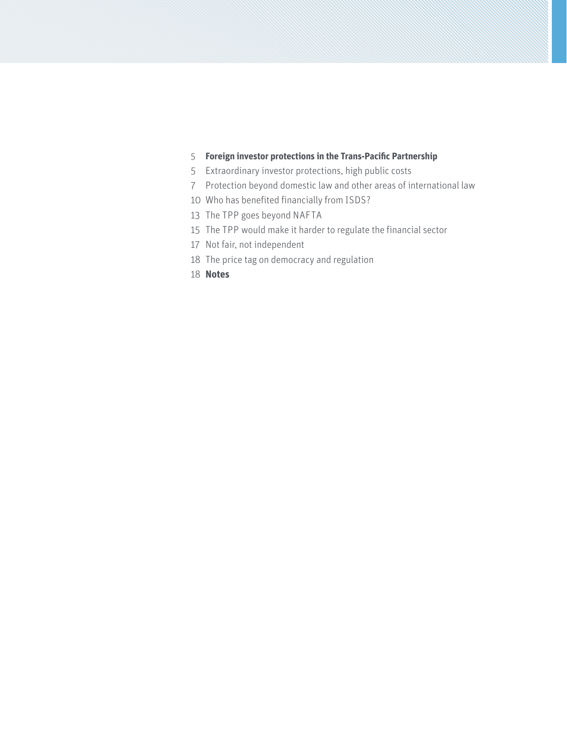# **[Foreign investor protections in the Trans-Pacific Partnership](#page-4-0)**

- [Extraordinary investor protections, high public costs](#page-4-0)
- [Protection beyond domestic law and other areas of international law](#page-6-0)
- [Who has benefited financially from ISDS?](#page-9-0)
- [The TPP goes beyond NAFTA](#page-12-0)
- [The TPP would make it harder to regulate the financial sector](#page-14-0)
- [Not fair, not independent](#page-16-0)
- [The price tag on democracy and regulation](#page-17-0)
- **[Notes](#page-17-0)**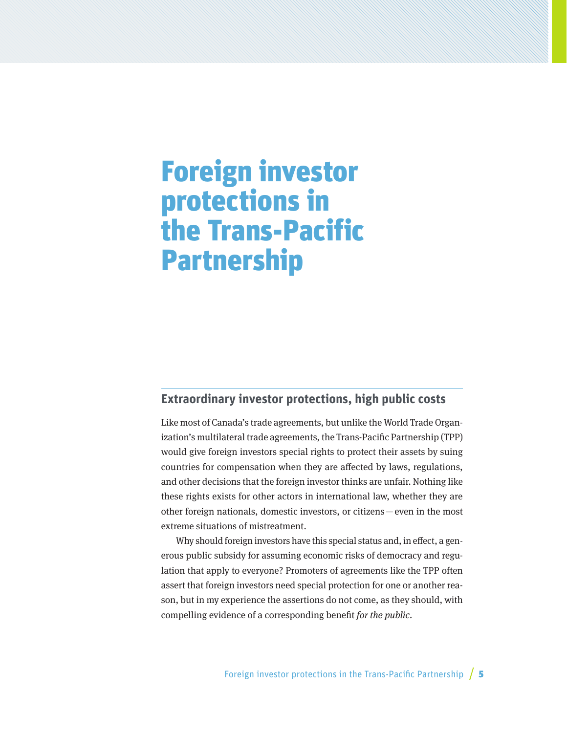# <span id="page-4-0"></span>Foreign investor protections in the Trans-Pacific Partnership

# **Extraordinary investor protections, high public costs**

Like most of Canada's trade agreements, but unlike the World Trade Organization's multilateral trade agreements, the Trans-Pacific Partnership (TPP) would give foreign investors special rights to protect their assets by suing countries for compensation when they are affected by laws, regulations, and other decisions that the foreign investor thinks are unfair. Nothing like these rights exists for other actors in international law, whether they are other foreign nationals, domestic investors, or citizens—even in the most extreme situations of mistreatment.

Why should foreign investors have this special status and, in effect, a generous public subsidy for assuming economic risks of democracy and regulation that apply to everyone? Promoters of agreements like the TPP often assert that foreign investors need special protection for one or another reason, but in my experience the assertions do not come, as they should, with compelling evidence of a corresponding benefit for the public.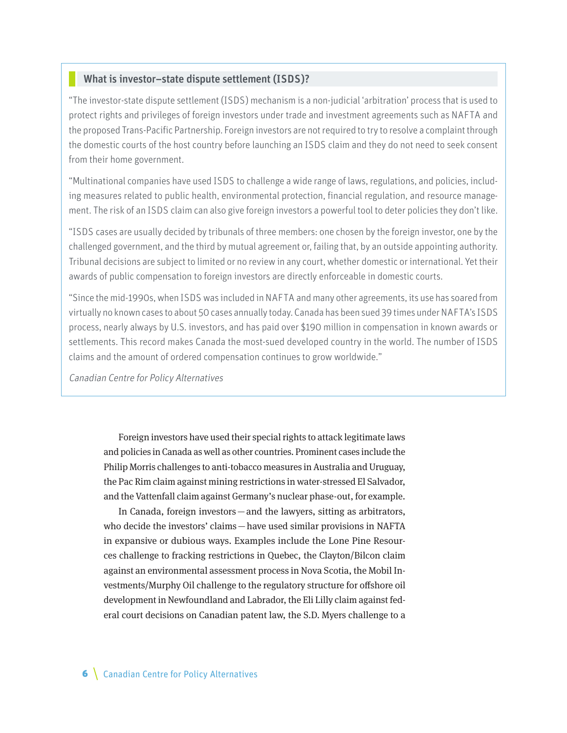#### What is investor–state dispute settlement (ISDS)?

"The investor-state dispute settlement (ISDS) mechanism is a non-judicial 'arbitration' process that is used to protect rights and privileges of foreign investors under trade and investment agreements such as NAFTA and the proposed Trans-Pacific Partnership. Foreign investors are not required to try to resolve a complaint through the domestic courts of the host country before launching an ISDS claim and they do not need to seek consent from their home government.

"Multinational companies have used ISDS to challenge a wide range of laws, regulations, and policies, including measures related to public health, environmental protection, financial regulation, and resource management. The risk of an ISDS claim can also give foreign investors a powerful tool to deter policies they don't like.

"ISDS cases are usually decided by tribunals of three members: one chosen by the foreign investor, one by the challenged government, and the third by mutual agreement or, failing that, by an outside appointing authority. Tribunal decisions are subject to limited or no review in any court, whether domestic or international. Yet their awards of public compensation to foreign investors are directly enforceable in domestic courts.

"Since the mid-1990s, when ISDS was included in NAFTA and many other agreements, its use has soared from virtually no known cases to about 50 cases annually today. Canada has been sued 39 times under NAFTA's ISDS process, nearly always by U.S. investors, and has paid over \$190 million in compensation in known awards or settlements. This record makes Canada the most-sued developed country in the world. The number of ISDS claims and the amount of ordered compensation continues to grow worldwide."

Canadian Centre for Policy Alternatives

Foreign investors have used their special rights to attack legitimate laws and policies in Canada as well as other countries. Prominent cases include the Philip Morris challenges to anti-tobacco measures in Australia and Uruguay, the Pac Rim claim against mining restrictions in water-stressed El Salvador, and the Vattenfall claim against Germany's nuclear phase-out, for example.

In Canada, foreign investors—and the lawyers, sitting as arbitrators, who decide the investors' claims—have used similar provisions in NAFTA in expansive or dubious ways. Examples include the Lone Pine Resources challenge to fracking restrictions in Quebec, the Clayton/Bilcon claim against an environmental assessment process in Nova Scotia, the Mobil Investments/Murphy Oil challenge to the regulatory structure for offshore oil development in Newfoundland and Labrador, the Eli Lilly claim against federal court decisions on Canadian patent law, the S.D. Myers challenge to a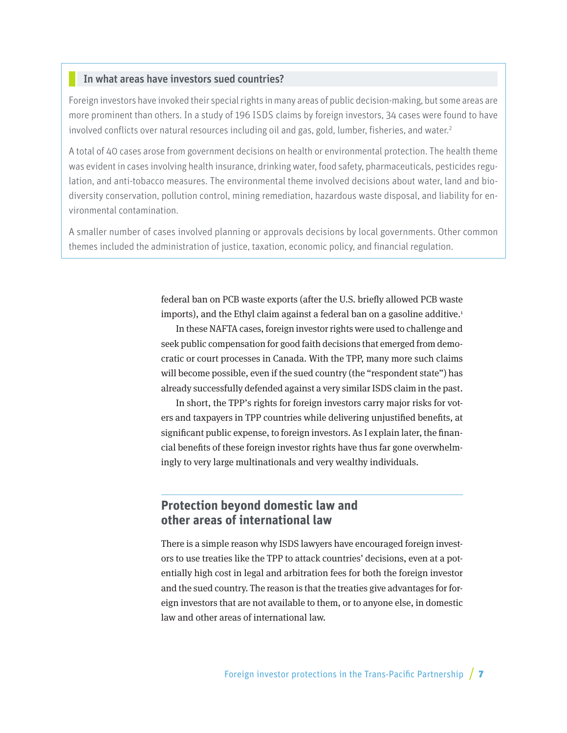#### <span id="page-6-0"></span>In what areas have investors sued countries?

Foreign investors have invoked their special rights in many areas of public decision-making, but some areas are more prominent than others. In a study of 196 ISDS claims by foreign investors, 34 cases were found to have involved conflicts over natural resources including oil and gas, gold, lumber, fisheries, and water.<sup>2</sup>

A total of 40 cases arose from government decisions on health or environmental protection. The health theme was evident in cases involving health insurance, drinking water, food safety, pharmaceuticals, pesticides regulation, and anti-tobacco measures. The environmental theme involved decisions about water, land and biodiversity conservation, pollution control, mining remediation, hazardous waste disposal, and liability for environmental contamination.

A smaller number of cases involved planning or approvals decisions by local governments. Other common themes included the administration of justice, taxation, economic policy, and financial regulation.

> federal ban on PCB waste exports (after the U.S. briefly allowed PCB waste imports), and the Ethyl claim against a federal ban on a gasoline additive.<sup>1</sup>

> In these NAFTA cases, foreign investor rights were used to challenge and seek public compensation for good faith decisions that emerged from democratic or court processes in Canada. With the TPP, many more such claims will become possible, even if the sued country (the "respondent state") has already successfully defended against a very similar ISDS claim in the past.

> In short, the TPP's rights for foreign investors carry major risks for voters and taxpayers in TPP countries while delivering unjustified benefits, at significant public expense, to foreign investors. As I explain later, the financial benefits of these foreign investor rights have thus far gone overwhelmingly to very large multinationals and very wealthy individuals.

# **Protection beyond domestic law and other areas of international law**

There is a simple reason why ISDS lawyers have encouraged foreign investors to use treaties like the TPP to attack countries' decisions, even at a potentially high cost in legal and arbitration fees for both the foreign investor and the sued country. The reason is that the treaties give advantages for foreign investors that are not available to them, or to anyone else, in domestic law and other areas of international law.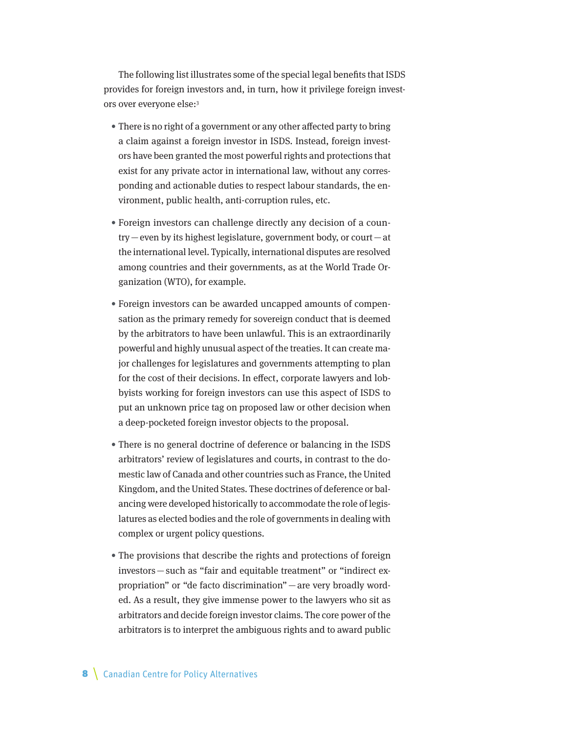The following list illustrates some of the special legal benefits that ISDS provides for foreign investors and, in turn, how it privilege foreign investors over everyone else:3

- There is no right of a government or any other affected party to bring a claim against a foreign investor in ISDS. Instead, foreign investors have been granted the most powerful rights and protections that exist for any private actor in international law, without any corresponding and actionable duties to respect labour standards, the environment, public health, anti-corruption rules, etc.
- Foreign investors can challenge directly any decision of a country—even by its highest legislature, government body, or court—at the international level. Typically, international disputes are resolved among countries and their governments, as at the World Trade Organization (WTO), for example.
- Foreign investors can be awarded uncapped amounts of compensation as the primary remedy for sovereign conduct that is deemed by the arbitrators to have been unlawful. This is an extraordinarily powerful and highly unusual aspect of the treaties. It can create major challenges for legislatures and governments attempting to plan for the cost of their decisions. In effect, corporate lawyers and lobbyists working for foreign investors can use this aspect of ISDS to put an unknown price tag on proposed law or other decision when a deep-pocketed foreign investor objects to the proposal.
- There is no general doctrine of deference or balancing in the ISDS arbitrators' review of legislatures and courts, in contrast to the domestic law of Canada and other countries such as France, the United Kingdom, and the United States. These doctrines of deference or balancing were developed historically to accommodate the role of legislatures as elected bodies and the role of governments in dealing with complex or urgent policy questions.
- The provisions that describe the rights and protections of foreign investors—such as "fair and equitable treatment" or "indirect expropriation" or "de facto discrimination" —are very broadly worded. As a result, they give immense power to the lawyers who sit as arbitrators and decide foreign investor claims. The core power of the arbitrators is to interpret the ambiguous rights and to award public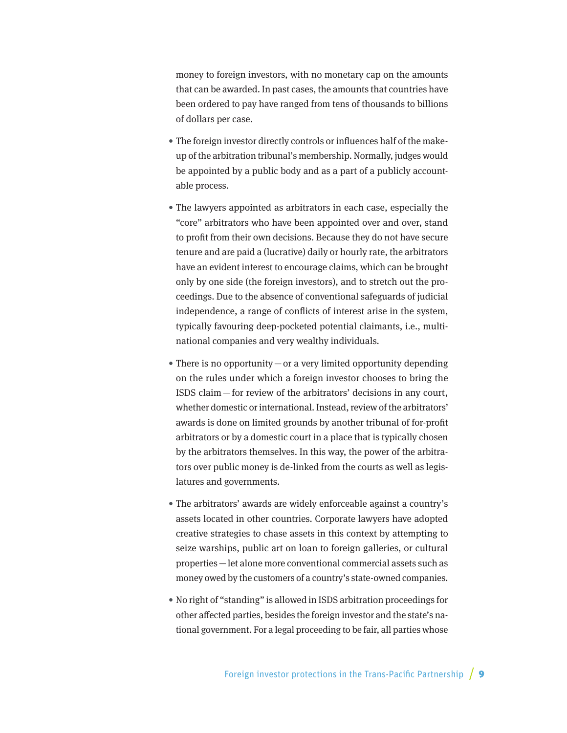money to foreign investors, with no monetary cap on the amounts that can be awarded. In past cases, the amounts that countries have been ordered to pay have ranged from tens of thousands to billions of dollars per case.

- The foreign investor directly controls or influences half of the makeup of the arbitration tribunal's membership. Normally, judges would be appointed by a public body and as a part of a publicly accountable process.
- The lawyers appointed as arbitrators in each case, especially the "core" arbitrators who have been appointed over and over, stand to profit from their own decisions. Because they do not have secure tenure and are paid a (lucrative) daily or hourly rate, the arbitrators have an evident interest to encourage claims, which can be brought only by one side (the foreign investors), and to stretch out the proceedings. Due to the absence of conventional safeguards of judicial independence, a range of conflicts of interest arise in the system, typically favouring deep-pocketed potential claimants, i.e., multinational companies and very wealthy individuals.
- There is no opportunity  $-\text{or}$  a very limited opportunity depending on the rules under which a foreign investor chooses to bring the ISDS claim—for review of the arbitrators' decisions in any court, whether domestic or international. Instead, review of the arbitrators' awards is done on limited grounds by another tribunal of for-profit arbitrators or by a domestic court in a place that is typically chosen by the arbitrators themselves. In this way, the power of the arbitrators over public money is de-linked from the courts as well as legislatures and governments.
- The arbitrators' awards are widely enforceable against a country's assets located in other countries. Corporate lawyers have adopted creative strategies to chase assets in this context by attempting to seize warships, public art on loan to foreign galleries, or cultural properties—let alone more conventional commercial assets such as money owed by the customers of a country's state-owned companies.
- No right of "standing" is allowed in ISDS arbitration proceedings for other affected parties, besides the foreign investor and the state's national government. For a legal proceeding to be fair, all parties whose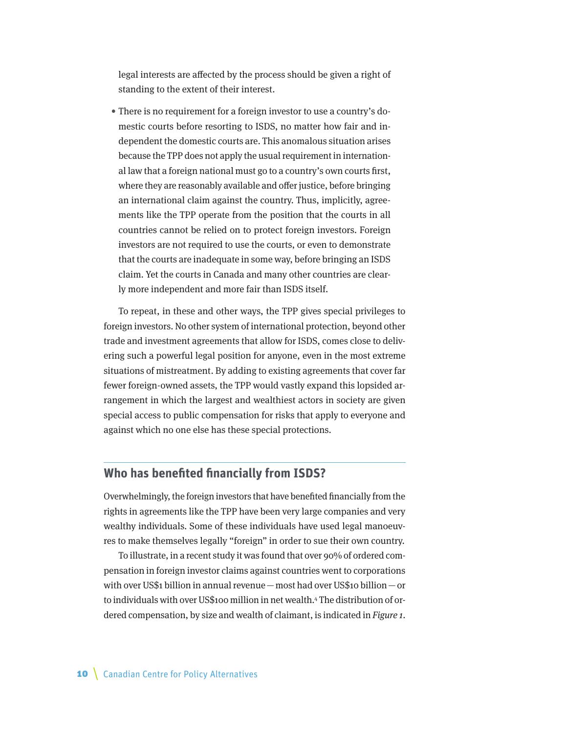<span id="page-9-0"></span>legal interests are affected by the process should be given a right of standing to the extent of their interest.

• There is no requirement for a foreign investor to use a country's domestic courts before resorting to ISDS, no matter how fair and independent the domestic courts are. This anomalous situation arises because the TPP does not apply the usual requirement in international law that a foreign national must go to a country's own courts first, where they are reasonably available and offer justice, before bringing an international claim against the country. Thus, implicitly, agreements like the TPP operate from the position that the courts in all countries cannot be relied on to protect foreign investors. Foreign investors are not required to use the courts, or even to demonstrate that the courts are inadequate in some way, before bringing an ISDS claim. Yet the courts in Canada and many other countries are clearly more independent and more fair than ISDS itself.

To repeat, in these and other ways, the TPP gives special privileges to foreign investors. No other system of international protection, beyond other trade and investment agreements that allow for ISDS, comes close to delivering such a powerful legal position for anyone, even in the most extreme situations of mistreatment. By adding to existing agreements that cover far fewer foreign-owned assets, the TPP would vastly expand this lopsided arrangement in which the largest and wealthiest actors in society are given special access to public compensation for risks that apply to everyone and against which no one else has these special protections.

# **Who has benefited financially from ISDS?**

Overwhelmingly, the foreign investors that have benefited financially from the rights in agreements like the TPP have been very large companies and very wealthy individuals. Some of these individuals have used legal manoeuvres to make themselves legally "foreign" in order to sue their own country.

To illustrate, in a recent study it was found that over 90% of ordered compensation in foreign investor claims against countries went to corporations with over US\$1 billion in annual revenue—most had over US\$10 billion—or to individuals with over US\$100 million in net wealth.4 The distribution of ordered compensation, by size and wealth of claimant, is indicated in Figure 1.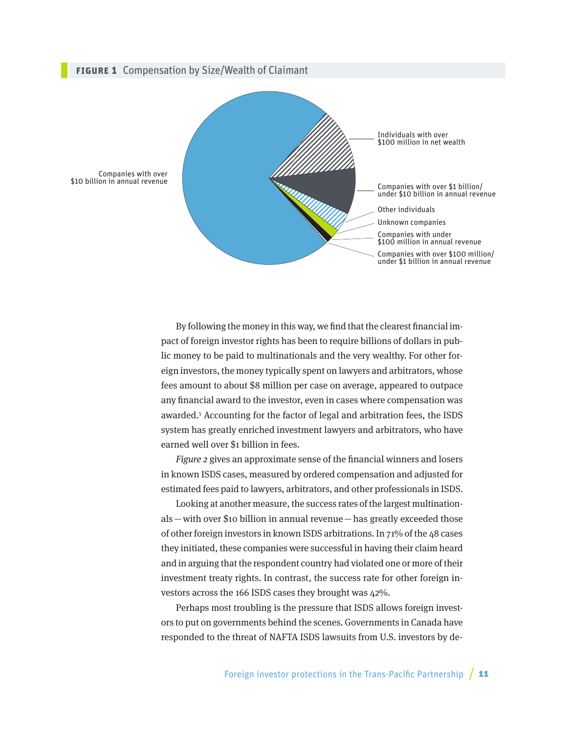#### **Figure 1** Compensation by Size/Wealth of Claimant



By following the money in this way, we find that the clearest financial impact of foreign investor rights has been to require billions of dollars in public money to be paid to multinationals and the very wealthy. For other foreign investors, the money typically spent on lawyers and arbitrators, whose fees amount to about \$8 million per case on average, appeared to outpace any financial award to the investor, even in cases where compensation was awarded.5 Accounting for the factor of legal and arbitration fees, the ISDS system has greatly enriched investment lawyers and arbitrators, who have earned well over \$1 billion in fees.

Figure 2 gives an approximate sense of the financial winners and losers in known ISDS cases, measured by ordered compensation and adjusted for estimated fees paid to lawyers, arbitrators, and other professionals in ISDS.

Looking at another measure, the success rates of the largest multinationals—with over \$10 billion in annual revenue—has greatly exceeded those of other foreign investors in known ISDS arbitrations. In 71% of the 48 cases they initiated, these companies were successful in having their claim heard and in arguing that the respondent country had violated one or more of their investment treaty rights. In contrast, the success rate for other foreign investors across the 166 ISDS cases they brought was 42%.

Perhaps most troubling is the pressure that ISDS allows foreign investors to put on governments behind the scenes. Governments in Canada have responded to the threat of NAFTA ISDS lawsuits from U.S. investors by de-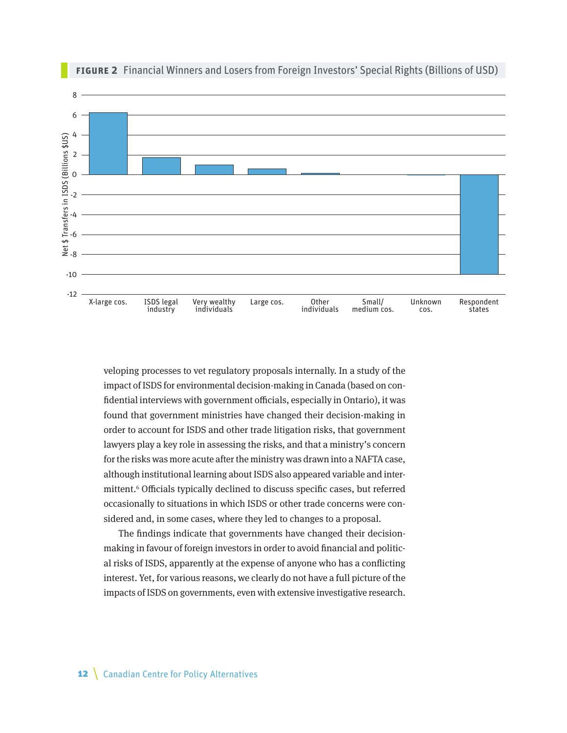

**Figure 2** Financial Winners and Losers from Foreign Investors' Special Rights (Billions of USD)

veloping processes to vet regulatory proposals internally. In a study of the impact of ISDS for environmental decision-making in Canada (based on confidential interviews with government officials, especially in Ontario), it was found that government ministries have changed their decision-making in order to account for ISDS and other trade litigation risks, that government lawyers play a key role in assessing the risks, and that a ministry's concern for the risks was more acute after the ministry was drawn into a NAFTA case, although institutional learning about ISDS also appeared variable and intermittent.<sup>6</sup> Officials typically declined to discuss specific cases, but referred occasionally to situations in which ISDS or other trade concerns were considered and, in some cases, where they led to changes to a proposal.

The findings indicate that governments have changed their decisionmaking in favour of foreign investors in order to avoid financial and political risks of ISDS, apparently at the expense of anyone who has a conflicting interest. Yet, for various reasons, we clearly do not have a full picture of the impacts of ISDS on governments, even with extensive investigative research.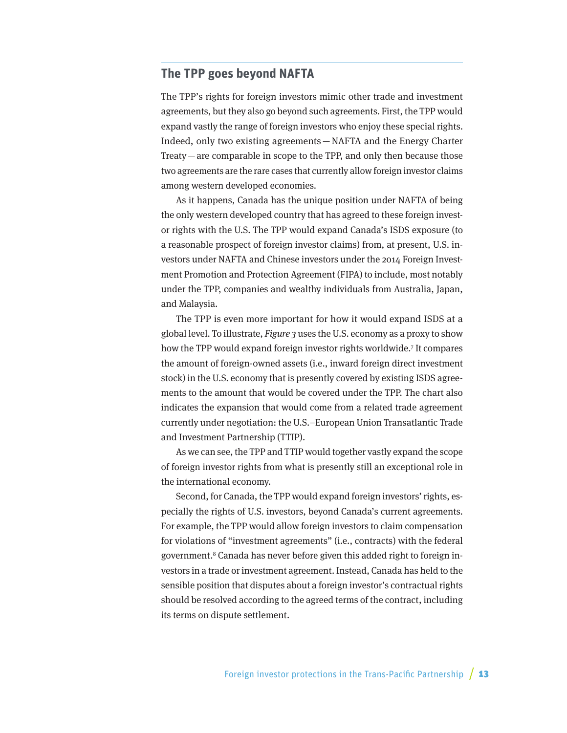## <span id="page-12-0"></span>**The TPP goes beyond NAFTA**

The TPP's rights for foreign investors mimic other trade and investment agreements, but they also go beyond such agreements. First, the TPP would expand vastly the range of foreign investors who enjoy these special rights. Indeed, only two existing agreements—NAFTA and the Energy Charter Treaty — are comparable in scope to the TPP, and only then because those two agreements are the rare cases that currently allow foreign investor claims among western developed economies.

As it happens, Canada has the unique position under NAFTA of being the only western developed country that has agreed to these foreign investor rights with the U.S. The TPP would expand Canada's ISDS exposure (to a reasonable prospect of foreign investor claims) from, at present, U.S. investors under NAFTA and Chinese investors under the 2014 Foreign Investment Promotion and Protection Agreement (FIPA) to include, most notably under the TPP, companies and wealthy individuals from Australia, Japan, and Malaysia.

The TPP is even more important for how it would expand ISDS at a global level. To illustrate, Figure 3 uses the U.S. economy as a proxy to show how the TPP would expand foreign investor rights worldwide.7 It compares the amount of foreign-owned assets (i.e., inward foreign direct investment stock) in the U.S. economy that is presently covered by existing ISDS agreements to the amount that would be covered under the TPP. The chart also indicates the expansion that would come from a related trade agreement currently under negotiation: the U.S.–European Union Transatlantic Trade and Investment Partnership (TTIP).

As we can see, the TPP and TTIP would together vastly expand the scope of foreign investor rights from what is presently still an exceptional role in the international economy.

Second, for Canada, the TPP would expand foreign investors' rights, especially the rights of U.S. investors, beyond Canada's current agreements. For example, the TPP would allow foreign investors to claim compensation for violations of "investment agreements" (i.e., contracts) with the federal government.<sup>8</sup> Canada has never before given this added right to foreign investors in a trade or investment agreement. Instead, Canada has held to the sensible position that disputes about a foreign investor's contractual rights should be resolved according to the agreed terms of the contract, including its terms on dispute settlement.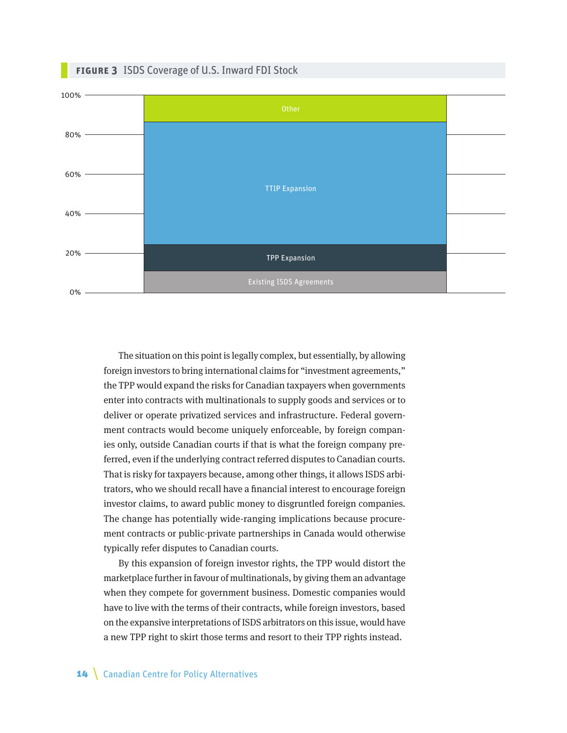

The situation on this point is legally complex, but essentially, by allowing foreign investors to bring international claims for "investment agreements," the TPP would expand the risks for Canadian taxpayers when governments enter into contracts with multinationals to supply goods and services or to deliver or operate privatized services and infrastructure. Federal government contracts would become uniquely enforceable, by foreign companies only, outside Canadian courts if that is what the foreign company preferred, even if the underlying contract referred disputes to Canadian courts. That is risky for taxpayers because, among other things, it allows ISDS arbitrators, who we should recall have a financial interest to encourage foreign investor claims, to award public money to disgruntled foreign companies. The change has potentially wide-ranging implications because procurement contracts or public-private partnerships in Canada would otherwise typically refer disputes to Canadian courts.

By this expansion of foreign investor rights, the TPP would distort the marketplace further in favour of multinationals, by giving them an advantage when they compete for government business. Domestic companies would have to live with the terms of their contracts, while foreign investors, based on the expansive interpretations of ISDS arbitrators on this issue, would have a new TPP right to skirt those terms and resort to their TPP rights instead.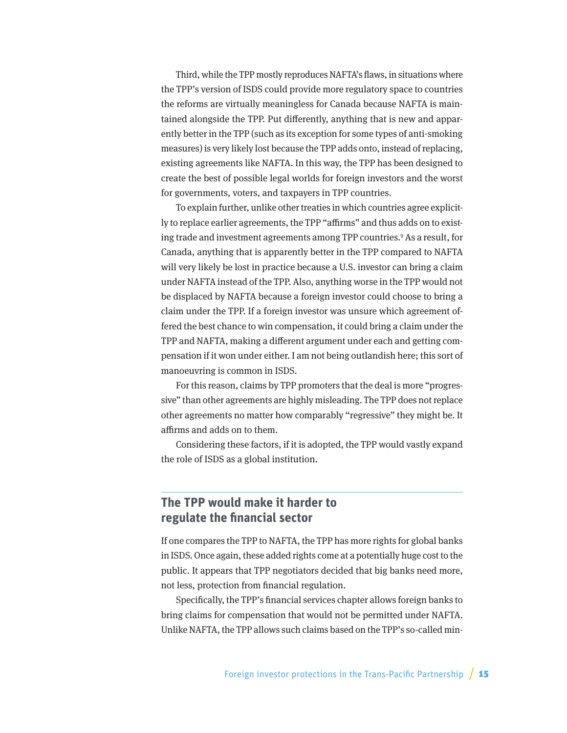<span id="page-14-0"></span>Third, while the TPP mostly reproduces NAFTA's flaws, in situations where the TPP's version of ISDS could provide more regulatory space to countries the reforms are virtually meaningless for Canada because NAFTA is maintained alongside the TPP. Put differently, anything that is new and apparently better in the TPP (such as its exception for some types of anti-smoking measures) is very likely lost because the TPP adds onto, instead of replacing, existing agreements like NAFTA. In this way, the TPP has been designed to create the best of possible legal worlds for foreign investors and the worst for governments, voters, and taxpayers in TPP countries.

To explain further, unlike other treaties in which countries agree explicitly to replace earlier agreements, the TPP "affirms" and thus adds on to existing trade and investment agreements among TPP countries.9 As a result, for Canada, anything that is apparently better in the TPP compared to NAFTA will very likely be lost in practice because a U.S. investor can bring a claim under NAFTA instead of the TPP. Also, anything worse in the TPP would not be displaced by NAFTA because a foreign investor could choose to bring a claim under the TPP. If a foreign investor was unsure which agreement offered the best chance to win compensation, it could bring a claim under the TPP and NAFTA, making a different argument under each and getting compensation if it won under either. I am not being outlandish here; this sort of manoeuvring is common in ISDS.

For this reason, claims by TPP promoters that the deal is more "progressive" than other agreements are highly misleading. The TPP does not replace other agreements no matter how comparably "regressive" they might be. It affirms and adds on to them.

Considering these factors, if it is adopted, the TPP would vastly expand the role of ISDS as a global institution.

# **The TPP would make it harder to regulate the financial sector**

If one compares the TPP to NAFTA, the TPP has more rights for global banks in ISDS. Once again, these added rights come at a potentially huge cost to the public. It appears that TPP negotiators decided that big banks need more, not less, protection from financial regulation.

Specifically, the TPP's financial services chapter allows foreign banks to bring claims for compensation that would not be permitted under NAFTA. Unlike NAFTA, the TPP allows such claims based on the TPP's so-called min-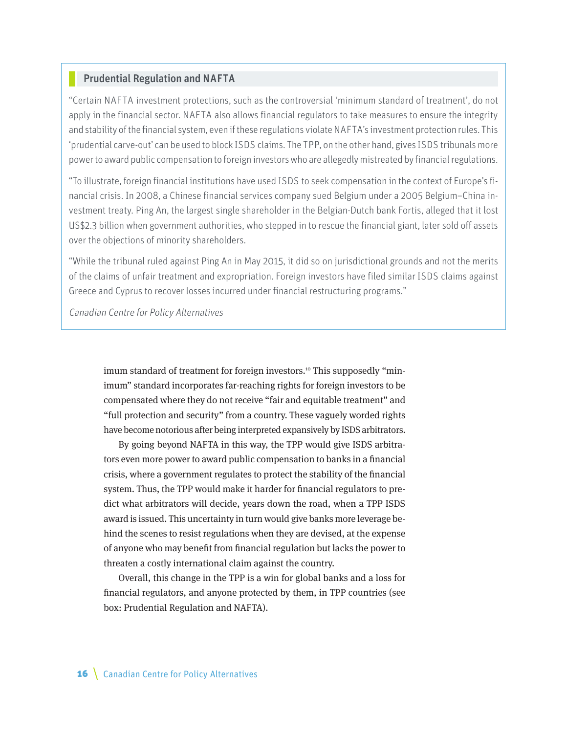## Prudential Regulation and NAFTA

"Certain NAFTA investment protections, such as the controversial 'minimum standard of treatment', do not apply in the financial sector. NAFTA also allows financial regulators to take measures to ensure the integrity and stability of the financial system, even if these regulations violate NAFTA's investment protection rules. This 'prudential carve-out' can be used to block ISDS claims. The TPP, on the other hand, gives ISDS tribunals more power to award public compensation to foreign investors who are allegedly mistreated by financial regulations.

"To illustrate, foreign financial institutions have used ISDS to seek compensation in the context of Europe's financial crisis. In 2008, a Chinese financial services company sued Belgium under a 2005 Belgium–China investment treaty. Ping An, the largest single shareholder in the Belgian-Dutch bank Fortis, alleged that it lost US\$2.3 billion when government authorities, who stepped in to rescue the financial giant, later sold off assets over the objections of minority shareholders.

"While the tribunal ruled against Ping An in May 2015, it did so on jurisdictional grounds and not the merits of the claims of unfair treatment and expropriation. Foreign investors have filed similar ISDS claims against Greece and Cyprus to recover losses incurred under financial restructuring programs."

Canadian Centre for Policy Alternatives

imum standard of treatment for foreign investors.<sup>10</sup> This supposedly "minimum" standard incorporates far-reaching rights for foreign investors to be compensated where they do not receive "fair and equitable treatment" and "full protection and security" from a country. These vaguely worded rights have become notorious after being interpreted expansively by ISDS arbitrators.

By going beyond NAFTA in this way, the TPP would give ISDS arbitrators even more power to award public compensation to banks in a financial crisis, where a government regulates to protect the stability of the financial system. Thus, the TPP would make it harder for financial regulators to predict what arbitrators will decide, years down the road, when a TPP ISDS award is issued. This uncertainty in turn would give banks more leverage behind the scenes to resist regulations when they are devised, at the expense of anyone who may benefit from financial regulation but lacks the power to threaten a costly international claim against the country.

Overall, this change in the TPP is a win for global banks and a loss for financial regulators, and anyone protected by them, in TPP countries (see box: Prudential Regulation and NAFTA).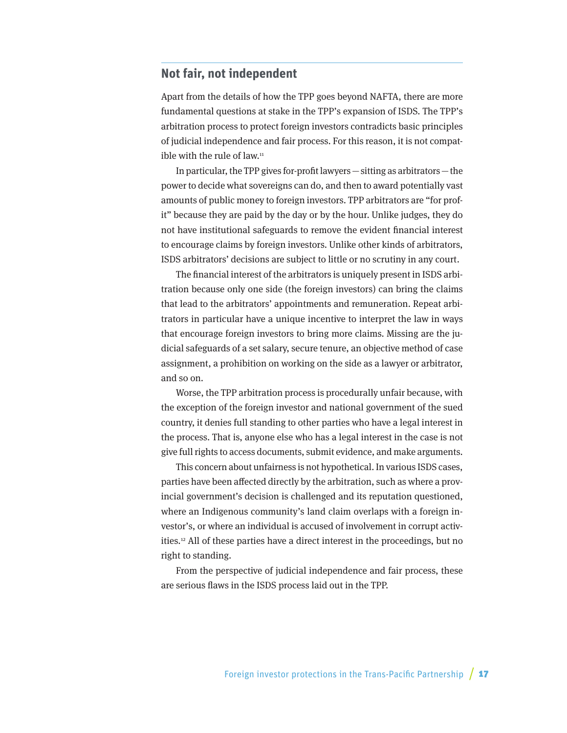# <span id="page-16-0"></span>**Not fair, not independent**

Apart from the details of how the TPP goes beyond NAFTA, there are more fundamental questions at stake in the TPP's expansion of ISDS. The TPP's arbitration process to protect foreign investors contradicts basic principles of judicial independence and fair process. For this reason, it is not compatible with the rule of law.<sup>11</sup>

In particular, the TPP gives for-profit lawyers—sitting as arbitrators—the power to decide what sovereigns can do, and then to award potentially vast amounts of public money to foreign investors. TPP arbitrators are "for profit" because they are paid by the day or by the hour. Unlike judges, they do not have institutional safeguards to remove the evident financial interest to encourage claims by foreign investors. Unlike other kinds of arbitrators, ISDS arbitrators' decisions are subject to little or no scrutiny in any court.

The financial interest of the arbitrators is uniquely present in ISDS arbitration because only one side (the foreign investors) can bring the claims that lead to the arbitrators' appointments and remuneration. Repeat arbitrators in particular have a unique incentive to interpret the law in ways that encourage foreign investors to bring more claims. Missing are the judicial safeguards of a set salary, secure tenure, an objective method of case assignment, a prohibition on working on the side as a lawyer or arbitrator, and so on.

Worse, the TPP arbitration process is procedurally unfair because, with the exception of the foreign investor and national government of the sued country, it denies full standing to other parties who have a legal interest in the process. That is, anyone else who has a legal interest in the case is not give full rights to access documents, submit evidence, and make arguments.

This concern about unfairness is not hypothetical. In various ISDS cases, parties have been affected directly by the arbitration, such as where a provincial government's decision is challenged and its reputation questioned, where an Indigenous community's land claim overlaps with a foreign investor's, or where an individual is accused of involvement in corrupt activities.12 All of these parties have a direct interest in the proceedings, but no right to standing.

From the perspective of judicial independence and fair process, these are serious flaws in the ISDS process laid out in the TPP.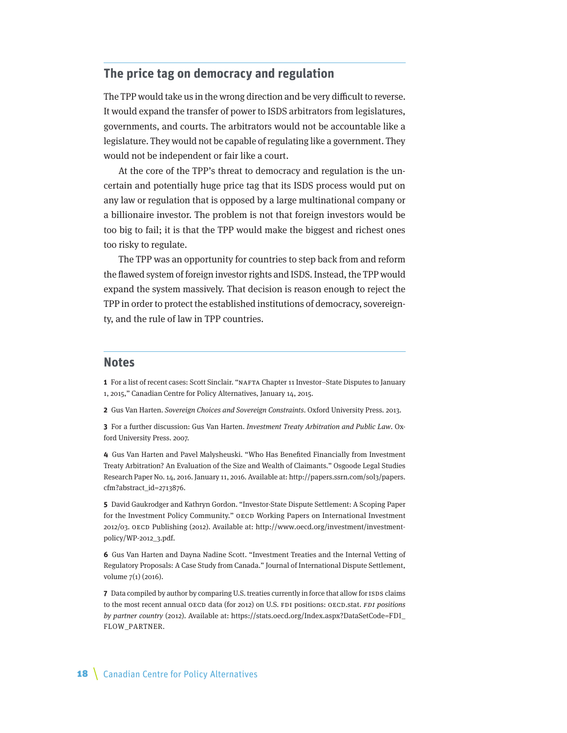# <span id="page-17-0"></span>**The price tag on democracy and regulation**

The TPP would take us in the wrong direction and be very difficult to reverse. It would expand the transfer of power to ISDS arbitrators from legislatures, governments, and courts. The arbitrators would not be accountable like a legislature. They would not be capable of regulating like a government. They would not be independent or fair like a court.

At the core of the TPP's threat to democracy and regulation is the uncertain and potentially huge price tag that its ISDS process would put on any law or regulation that is opposed by a large multinational company or a billionaire investor. The problem is not that foreign investors would be too big to fail; it is that the TPP would make the biggest and richest ones too risky to regulate.

The TPP was an opportunity for countries to step back from and reform the flawed system of foreign investor rights and ISDS. Instead, the TPP would expand the system massively. That decision is reason enough to reject the TPP in order to protect the established institutions of democracy, sovereignty, and the rule of law in TPP countries.

### **Notes**

**1** For a list of recent cases: Scott Sinclair. "NAFTA Chapter 11 Investor–State Disputes to January 1, 2015," Canadian Centre for Policy Alternatives, January 14, 2015.

**2** Gus Van Harten. Sovereign Choices and Sovereign Constraints. Oxford University Press. 2013.

**3** For a further discussion: Gus Van Harten. Investment Treaty Arbitration and Public Law. Oxford University Press. 2007.

**4** Gus Van Harten and Pavel Malysheuski. "Who Has Benefited Financially from Investment Treaty Arbitration? An Evaluation of the Size and Wealth of Claimants." Osgoode Legal Studies Research Paper No. 14, 2016. January 11, 2016. Available at: [http://papers.ssrn.com/sol3/papers.](http://papers.ssrn.com/sol3/papers.cfm?abstract_id=2713876) [cfm?abstract\\_id=2713876](http://papers.ssrn.com/sol3/papers.cfm?abstract_id=2713876).

**5** David Gaukrodger and Kathryn Gordon. "Investor-State Dispute Settlement: A Scoping Paper for the Investment Policy Community." OECD Working Papers on International Investment 2012/03. OECD Publishing (2012). Available at: [http://www.oecd.org/investment/investment](http://www.oecd.org/investment/investment-policy/WP-2012_3.pdf)[policy/WP-2012\\_3.pdf.](http://www.oecd.org/investment/investment-policy/WP-2012_3.pdf)

**6** Gus Van Harten and Dayna Nadine Scott. "Investment Treaties and the Internal Vetting of Regulatory Proposals: A Case Study from Canada." Journal of International Dispute Settlement, volume 7(1) (2016).

**7** Data compiled by author by comparing U.S. treaties currently in force that allow for ISDS claims to the most recent annual OECD data (for 2012) on U.S. FDI positions: OECD.stat. FDI positions by partner country (2012). Available at: [https://stats.oecd.org/Index.aspx?DataSetCode=FDI\\_](https://stats.oecd.org/Index.aspx?DataSetCode=FDI_FLOW_PARTNER) [FLOW\\_PARTNER.](https://stats.oecd.org/Index.aspx?DataSetCode=FDI_FLOW_PARTNER)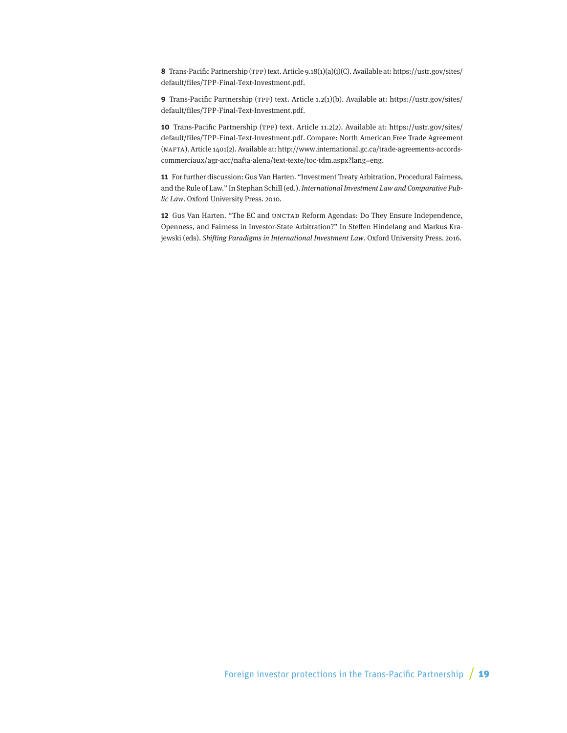**8** Trans-Pacific Partnership (TPP) text. Article 9.18(1)(a)(i)(C). Available at: [https://ustr.gov/sites/](https://ustr.gov/sites/default/files/TPP-Final-Text-Investment.pdf) [default/files/TPP-Final-Text-Investment.pdf](https://ustr.gov/sites/default/files/TPP-Final-Text-Investment.pdf).

**9** Trans-Pacific Partnership (TPP) text. Article 1.2(1)(b). Available at: [https://ustr.gov/sites/](https://ustr.gov/sites/default/files/TPP-Final-Text-Investment.pdf) [default/files/TPP-Final-Text-Investment.pdf](https://ustr.gov/sites/default/files/TPP-Final-Text-Investment.pdf).

**10** Trans-Pacific Partnership (TPP) text. Article 11.2(2). Available at: [https://ustr.gov/sites/](https://ustr.gov/sites/default/files/TPP-Final-Text-Investment.pdf) [default/files/TPP-Final-Text-Investment.pdf](https://ustr.gov/sites/default/files/TPP-Final-Text-Investment.pdf). Compare: North American Free Trade Agreement (NAFTA). Article 1401(2). Available at: [http://www.international.gc.ca/trade-agreements-accords](http://www.international.gc.ca/trade-agreements-accords-commerciaux/agr-acc/nafta-alena/text-texte/toc-tdm.aspx?lang=eng)[commerciaux/agr-acc/nafta-alena/text-texte/toc-tdm.aspx?lang=eng.](http://www.international.gc.ca/trade-agreements-accords-commerciaux/agr-acc/nafta-alena/text-texte/toc-tdm.aspx?lang=eng)

**11** For further discussion: Gus Van Harten. "Investment Treaty Arbitration, Procedural Fairness, and the Rule of Law." In Stephan Schill (ed.). International Investment Law and Comparative Public Law. Oxford University Press. 2010.

**12** Gus Van Harten. "The EC and UNCTAD Reform Agendas: Do They Ensure Independence, Openness, and Fairness in Investor-State Arbitration?" In Steffen Hindelang and Markus Krajewski (eds). Shifting Paradigms in International Investment Law. Oxford University Press. 2016.